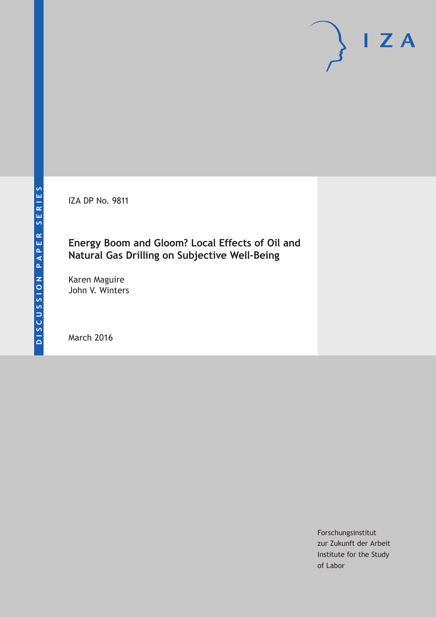IZA DP No. 9811

## **Energy Boom and Gloom? Local Effects of Oil and Natural Gas Drilling on Subjective Well-Being**

Karen Maguire John V. Winters

March 2016

Forschungsinstitut zur Zukunft der Arbeit Institute for the Study of Labor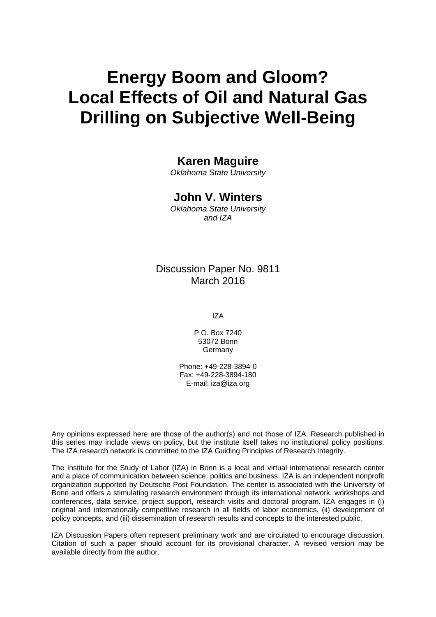# **Energy Boom and Gloom? Local Effects of Oil and Natural Gas Drilling on Subjective Well-Being**

### **Karen Maguire**

*Oklahoma State University* 

### **John V. Winters**

*Oklahoma State University and IZA* 

### Discussion Paper No. 9811 March 2016

IZA

P.O. Box 7240 53072 Bonn Germany

Phone: +49-228-3894-0 Fax: +49-228-3894-180 E-mail: iza@iza.org

Any opinions expressed here are those of the author(s) and not those of IZA. Research published in this series may include views on policy, but the institute itself takes no institutional policy positions. The IZA research network is committed to the IZA Guiding Principles of Research Integrity.

The Institute for the Study of Labor (IZA) in Bonn is a local and virtual international research center and a place of communication between science, politics and business. IZA is an independent nonprofit organization supported by Deutsche Post Foundation. The center is associated with the University of Bonn and offers a stimulating research environment through its international network, workshops and conferences, data service, project support, research visits and doctoral program. IZA engages in (i) original and internationally competitive research in all fields of labor economics, (ii) development of policy concepts, and (iii) dissemination of research results and concepts to the interested public.

IZA Discussion Papers often represent preliminary work and are circulated to encourage discussion. Citation of such a paper should account for its provisional character. A revised version may be available directly from the author.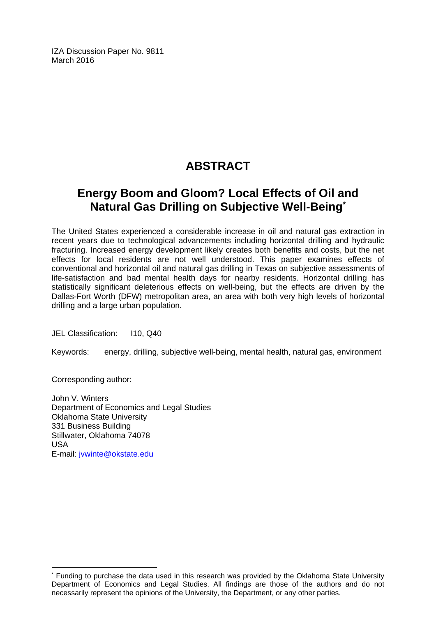IZA Discussion Paper No. 9811 March 2016

# **ABSTRACT**

# **Energy Boom and Gloom? Local Effects of Oil and Natural Gas Drilling on Subjective Well-Being\***

The United States experienced a considerable increase in oil and natural gas extraction in recent years due to technological advancements including horizontal drilling and hydraulic fracturing. Increased energy development likely creates both benefits and costs, but the net effects for local residents are not well understood. This paper examines effects of conventional and horizontal oil and natural gas drilling in Texas on subjective assessments of life-satisfaction and bad mental health days for nearby residents. Horizontal drilling has statistically significant deleterious effects on well-being, but the effects are driven by the Dallas-Fort Worth (DFW) metropolitan area, an area with both very high levels of horizontal drilling and a large urban population.

JEL Classification: I10, Q40

Keywords: energy, drilling, subjective well-being, mental health, natural gas, environment

Corresponding author:

 $\overline{a}$ 

John V. Winters Department of Economics and Legal Studies Oklahoma State University 331 Business Building Stillwater, Oklahoma 74078 USA E-mail: jvwinte@okstate.edu

<sup>\*</sup> Funding to purchase the data used in this research was provided by the Oklahoma State University Department of Economics and Legal Studies. All findings are those of the authors and do not necessarily represent the opinions of the University, the Department, or any other parties.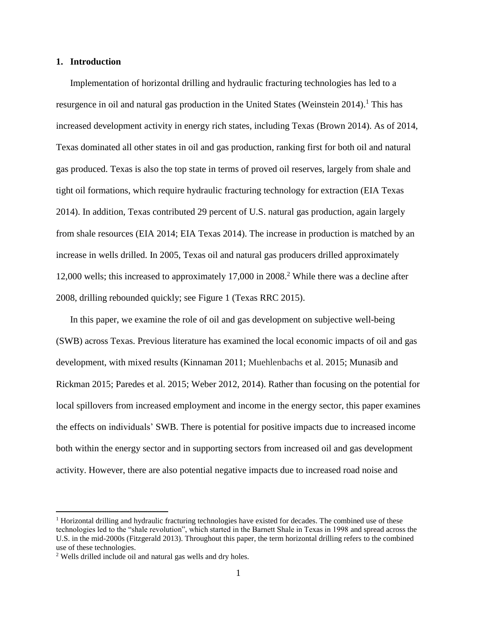#### **1. Introduction**

Implementation of horizontal drilling and hydraulic fracturing technologies has led to a resurgence in oil and natural gas production in the United States (Weinstein 2014).<sup>1</sup> This has increased development activity in energy rich states, including Texas (Brown 2014). As of 2014, Texas dominated all other states in oil and gas production, ranking first for both oil and natural gas produced. Texas is also the top state in terms of proved oil reserves, largely from shale and tight oil formations, which require hydraulic fracturing technology for extraction (EIA Texas 2014). In addition, Texas contributed 29 percent of U.S. natural gas production, again largely from shale resources (EIA 2014; EIA Texas 2014). The increase in production is matched by an increase in wells drilled. In 2005, Texas oil and natural gas producers drilled approximately 12,000 wells; this increased to approximately 17,000 in 2008.<sup>2</sup> While there was a decline after 2008, drilling rebounded quickly; see Figure 1 (Texas RRC 2015).

In this paper, we examine the role of oil and gas development on subjective well-being (SWB) across Texas. Previous literature has examined the local economic impacts of oil and gas development, with mixed results (Kinnaman 2011; Muehlenbachs et al. 2015; Munasib and Rickman 2015; Paredes et al. 2015; Weber 2012, 2014). Rather than focusing on the potential for local spillovers from increased employment and income in the energy sector, this paper examines the effects on individuals' SWB. There is potential for positive impacts due to increased income both within the energy sector and in supporting sectors from increased oil and gas development activity. However, there are also potential negative impacts due to increased road noise and

<sup>&</sup>lt;sup>1</sup> Horizontal drilling and hydraulic fracturing technologies have existed for decades. The combined use of these technologies led to the "shale revolution", which started in the Barnett Shale in Texas in 1998 and spread across the U.S. in the mid-2000s (Fitzgerald 2013). Throughout this paper, the term horizontal drilling refers to the combined use of these technologies.

<sup>2</sup> Wells drilled include oil and natural gas wells and dry holes.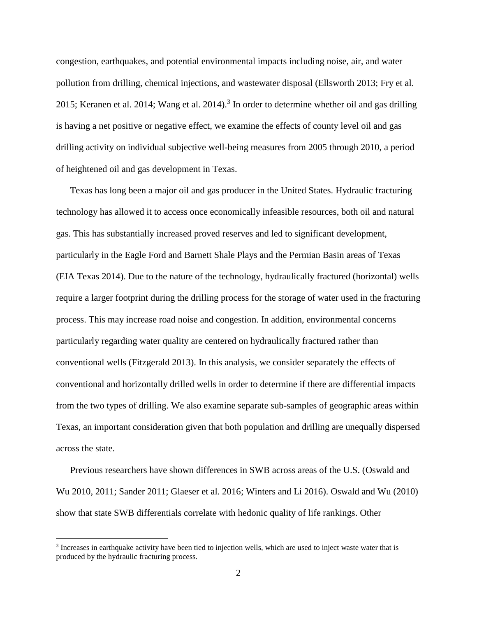congestion, earthquakes, and potential environmental impacts including noise, air, and water pollution from drilling, chemical injections, and wastewater disposal (Ellsworth 2013; Fry et al. 2015; Keranen et al. 2014; Wang et al. 2014).<sup>3</sup> In order to determine whether oil and gas drilling is having a net positive or negative effect, we examine the effects of county level oil and gas drilling activity on individual subjective well-being measures from 2005 through 2010, a period of heightened oil and gas development in Texas.

Texas has long been a major oil and gas producer in the United States. Hydraulic fracturing technology has allowed it to access once economically infeasible resources, both oil and natural gas. This has substantially increased proved reserves and led to significant development, particularly in the Eagle Ford and Barnett Shale Plays and the Permian Basin areas of Texas (EIA Texas 2014). Due to the nature of the technology, hydraulically fractured (horizontal) wells require a larger footprint during the drilling process for the storage of water used in the fracturing process. This may increase road noise and congestion. In addition, environmental concerns particularly regarding water quality are centered on hydraulically fractured rather than conventional wells (Fitzgerald 2013). In this analysis, we consider separately the effects of conventional and horizontally drilled wells in order to determine if there are differential impacts from the two types of drilling. We also examine separate sub-samples of geographic areas within Texas, an important consideration given that both population and drilling are unequally dispersed across the state.

Previous researchers have shown differences in SWB across areas of the U.S. (Oswald and Wu 2010, 2011; Sander 2011; Glaeser et al. 2016; Winters and Li 2016). Oswald and Wu (2010) show that state SWB differentials correlate with hedonic quality of life rankings. Other

<sup>&</sup>lt;sup>3</sup> Increases in earthquake activity have been tied to injection wells, which are used to inject waste water that is produced by the hydraulic fracturing process.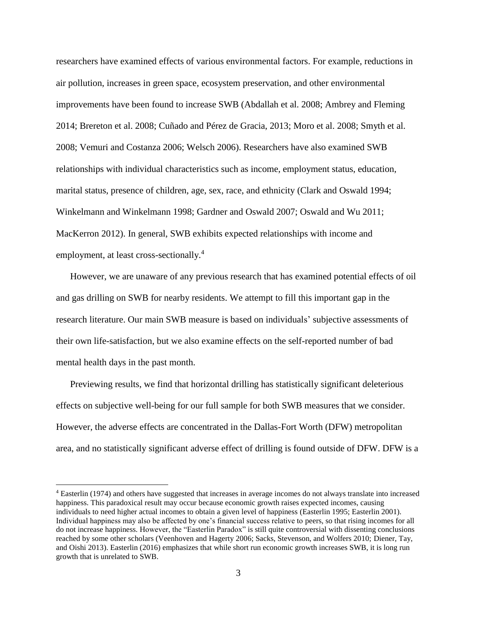researchers have examined effects of various environmental factors. For example, reductions in air pollution, increases in green space, ecosystem preservation, and other environmental improvements have been found to increase SWB (Abdallah et al. 2008; Ambrey and Fleming 2014; Brereton et al. 2008; Cuñado and Pérez de Gracia, 2013; Moro et al. 2008; Smyth et al. 2008; Vemuri and Costanza 2006; Welsch 2006). Researchers have also examined SWB relationships with individual characteristics such as income, employment status, education, marital status, presence of children, age, sex, race, and ethnicity (Clark and Oswald 1994; Winkelmann and Winkelmann 1998; Gardner and Oswald 2007; Oswald and Wu 2011; MacKerron 2012). In general, SWB exhibits expected relationships with income and employment, at least cross-sectionally.<sup>4</sup>

However, we are unaware of any previous research that has examined potential effects of oil and gas drilling on SWB for nearby residents. We attempt to fill this important gap in the research literature. Our main SWB measure is based on individuals' subjective assessments of their own life-satisfaction, but we also examine effects on the self-reported number of bad mental health days in the past month.

Previewing results, we find that horizontal drilling has statistically significant deleterious effects on subjective well-being for our full sample for both SWB measures that we consider. However, the adverse effects are concentrated in the Dallas-Fort Worth (DFW) metropolitan area, and no statistically significant adverse effect of drilling is found outside of DFW. DFW is a

<sup>4</sup> Easterlin (1974) and others have suggested that increases in average incomes do not always translate into increased happiness. This paradoxical result may occur because economic growth raises expected incomes, causing individuals to need higher actual incomes to obtain a given level of happiness (Easterlin 1995; Easterlin 2001). Individual happiness may also be affected by one's financial success relative to peers, so that rising incomes for all do not increase happiness. However, the "Easterlin Paradox" is still quite controversial with dissenting conclusions reached by some other scholars (Veenhoven and Hagerty 2006; Sacks, Stevenson, and Wolfers 2010; Diener, Tay, and Oishi 2013). Easterlin (2016) emphasizes that while short run economic growth increases SWB, it is long run growth that is unrelated to SWB.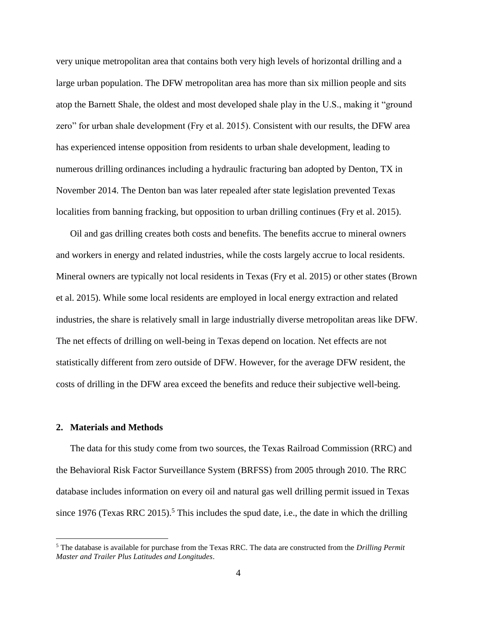very unique metropolitan area that contains both very high levels of horizontal drilling and a large urban population. The DFW metropolitan area has more than six million people and sits atop the Barnett Shale, the oldest and most developed shale play in the U.S., making it "ground zero" for urban shale development (Fry et al. 2015). Consistent with our results, the DFW area has experienced intense opposition from residents to urban shale development, leading to numerous drilling ordinances including a hydraulic fracturing ban adopted by Denton, TX in November 2014. The Denton ban was later repealed after state legislation prevented Texas localities from banning fracking, but opposition to urban drilling continues (Fry et al. 2015).

Oil and gas drilling creates both costs and benefits. The benefits accrue to mineral owners and workers in energy and related industries, while the costs largely accrue to local residents. Mineral owners are typically not local residents in Texas (Fry et al. 2015) or other states (Brown et al. 2015). While some local residents are employed in local energy extraction and related industries, the share is relatively small in large industrially diverse metropolitan areas like DFW. The net effects of drilling on well-being in Texas depend on location. Net effects are not statistically different from zero outside of DFW. However, for the average DFW resident, the costs of drilling in the DFW area exceed the benefits and reduce their subjective well-being.

#### **2. Materials and Methods**

 $\overline{a}$ 

The data for this study come from two sources, the Texas Railroad Commission (RRC) and the Behavioral Risk Factor Surveillance System (BRFSS) from 2005 through 2010. The RRC database includes information on every oil and natural gas well drilling permit issued in Texas since 1976 (Texas RRC 2015).<sup>5</sup> This includes the spud date, i.e., the date in which the drilling

<sup>5</sup> The database is available for purchase from the Texas RRC. The data are constructed from the *Drilling Permit Master and Trailer Plus Latitudes and Longitudes*.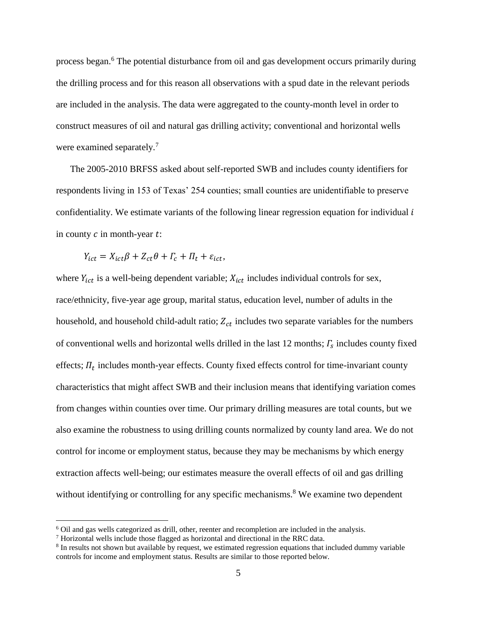process began.<sup>6</sup> The potential disturbance from oil and gas development occurs primarily during the drilling process and for this reason all observations with a spud date in the relevant periods are included in the analysis. The data were aggregated to the county-month level in order to construct measures of oil and natural gas drilling activity; conventional and horizontal wells were examined separately.<sup>7</sup>

The 2005-2010 BRFSS asked about self-reported SWB and includes county identifiers for respondents living in 153 of Texas' 254 counties; small counties are unidentifiable to preserve confidentiality. We estimate variants of the following linear regression equation for individual  $i$ in county  $c$  in month-year  $t$ :

$$
Y_{ict} = X_{ict}\beta + Z_{ct}\theta + \Gamma_c + \Pi_t + \varepsilon_{ict},
$$

where  $Y_{ict}$  is a well-being dependent variable;  $X_{ict}$  includes individual controls for sex, race/ethnicity, five-year age group, marital status, education level, number of adults in the household, and household child-adult ratio;  $Z_{ct}$  includes two separate variables for the numbers of conventional wells and horizontal wells drilled in the last 12 months;  $\Gamma_s$  includes county fixed effects;  $\Pi_t$  includes month-year effects. County fixed effects control for time-invariant county characteristics that might affect SWB and their inclusion means that identifying variation comes from changes within counties over time. Our primary drilling measures are total counts, but we also examine the robustness to using drilling counts normalized by county land area. We do not control for income or employment status, because they may be mechanisms by which energy extraction affects well-being; our estimates measure the overall effects of oil and gas drilling without identifying or controlling for any specific mechanisms.<sup>8</sup> We examine two dependent

<sup>6</sup> Oil and gas wells categorized as drill, other, reenter and recompletion are included in the analysis.

<sup>7</sup> Horizontal wells include those flagged as horizontal and directional in the RRC data.

<sup>&</sup>lt;sup>8</sup> In results not shown but available by request, we estimated regression equations that included dummy variable controls for income and employment status. Results are similar to those reported below.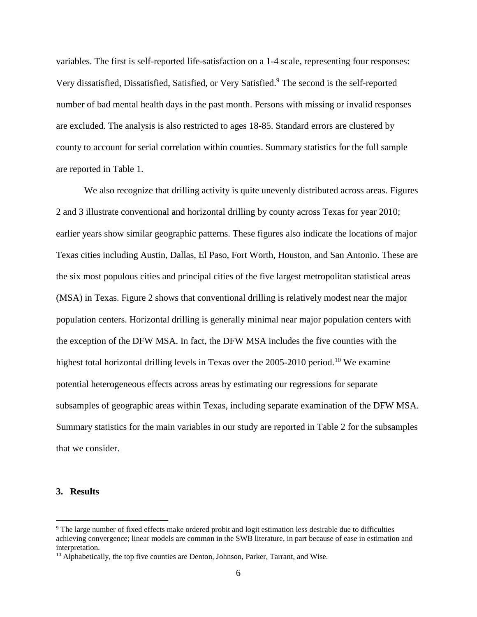variables. The first is self-reported life-satisfaction on a 1-4 scale, representing four responses: Very dissatisfied, Dissatisfied, Satisfied, or Very Satisfied. <sup>9</sup> The second is the self-reported number of bad mental health days in the past month. Persons with missing or invalid responses are excluded. The analysis is also restricted to ages 18-85. Standard errors are clustered by county to account for serial correlation within counties. Summary statistics for the full sample are reported in Table 1.

We also recognize that drilling activity is quite unevenly distributed across areas. Figures 2 and 3 illustrate conventional and horizontal drilling by county across Texas for year 2010; earlier years show similar geographic patterns. These figures also indicate the locations of major Texas cities including Austin, Dallas, El Paso, Fort Worth, Houston, and San Antonio. These are the six most populous cities and principal cities of the five largest metropolitan statistical areas (MSA) in Texas. Figure 2 shows that conventional drilling is relatively modest near the major population centers. Horizontal drilling is generally minimal near major population centers with the exception of the DFW MSA. In fact, the DFW MSA includes the five counties with the highest total horizontal drilling levels in Texas over the  $2005-2010$  period.<sup>10</sup> We examine potential heterogeneous effects across areas by estimating our regressions for separate subsamples of geographic areas within Texas, including separate examination of the DFW MSA. Summary statistics for the main variables in our study are reported in Table 2 for the subsamples that we consider.

#### **3. Results**

<sup>9</sup> The large number of fixed effects make ordered probit and logit estimation less desirable due to difficulties achieving convergence; linear models are common in the SWB literature, in part because of ease in estimation and interpretation.

<sup>&</sup>lt;sup>10</sup> Alphabetically, the top five counties are Denton, Johnson, Parker, Tarrant, and Wise.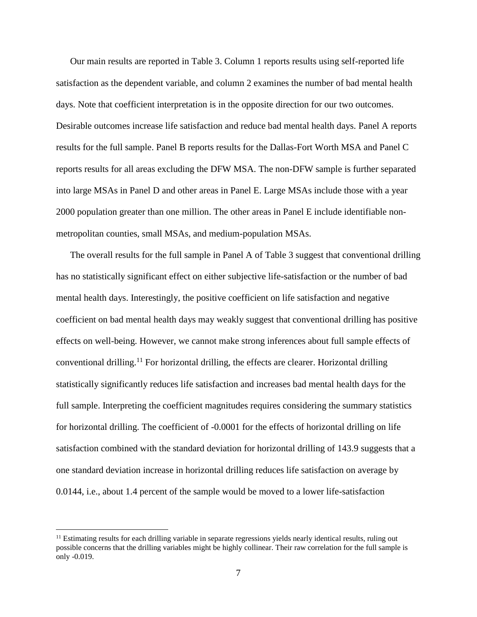Our main results are reported in Table 3. Column 1 reports results using self-reported life satisfaction as the dependent variable, and column 2 examines the number of bad mental health days. Note that coefficient interpretation is in the opposite direction for our two outcomes. Desirable outcomes increase life satisfaction and reduce bad mental health days. Panel A reports results for the full sample. Panel B reports results for the Dallas-Fort Worth MSA and Panel C reports results for all areas excluding the DFW MSA. The non-DFW sample is further separated into large MSAs in Panel D and other areas in Panel E. Large MSAs include those with a year 2000 population greater than one million. The other areas in Panel E include identifiable nonmetropolitan counties, small MSAs, and medium-population MSAs.

The overall results for the full sample in Panel A of Table 3 suggest that conventional drilling has no statistically significant effect on either subjective life-satisfaction or the number of bad mental health days. Interestingly, the positive coefficient on life satisfaction and negative coefficient on bad mental health days may weakly suggest that conventional drilling has positive effects on well-being. However, we cannot make strong inferences about full sample effects of conventional drilling.<sup>11</sup> For horizontal drilling, the effects are clearer. Horizontal drilling statistically significantly reduces life satisfaction and increases bad mental health days for the full sample. Interpreting the coefficient magnitudes requires considering the summary statistics for horizontal drilling. The coefficient of -0.0001 for the effects of horizontal drilling on life satisfaction combined with the standard deviation for horizontal drilling of 143.9 suggests that a one standard deviation increase in horizontal drilling reduces life satisfaction on average by 0.0144, i.e., about 1.4 percent of the sample would be moved to a lower life-satisfaction

 $11$  Estimating results for each drilling variable in separate regressions yields nearly identical results, ruling out possible concerns that the drilling variables might be highly collinear. Their raw correlation for the full sample is only -0.019.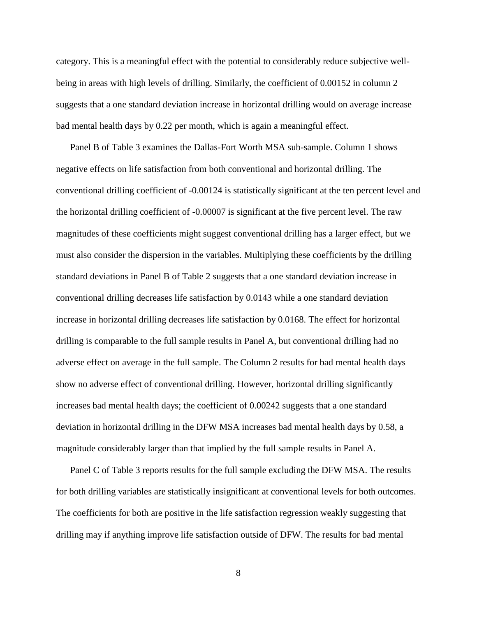category. This is a meaningful effect with the potential to considerably reduce subjective wellbeing in areas with high levels of drilling. Similarly, the coefficient of 0.00152 in column 2 suggests that a one standard deviation increase in horizontal drilling would on average increase bad mental health days by 0.22 per month, which is again a meaningful effect.

Panel B of Table 3 examines the Dallas-Fort Worth MSA sub-sample. Column 1 shows negative effects on life satisfaction from both conventional and horizontal drilling. The conventional drilling coefficient of -0.00124 is statistically significant at the ten percent level and the horizontal drilling coefficient of -0.00007 is significant at the five percent level. The raw magnitudes of these coefficients might suggest conventional drilling has a larger effect, but we must also consider the dispersion in the variables. Multiplying these coefficients by the drilling standard deviations in Panel B of Table 2 suggests that a one standard deviation increase in conventional drilling decreases life satisfaction by 0.0143 while a one standard deviation increase in horizontal drilling decreases life satisfaction by 0.0168. The effect for horizontal drilling is comparable to the full sample results in Panel A, but conventional drilling had no adverse effect on average in the full sample. The Column 2 results for bad mental health days show no adverse effect of conventional drilling. However, horizontal drilling significantly increases bad mental health days; the coefficient of 0.00242 suggests that a one standard deviation in horizontal drilling in the DFW MSA increases bad mental health days by 0.58, a magnitude considerably larger than that implied by the full sample results in Panel A.

Panel C of Table 3 reports results for the full sample excluding the DFW MSA. The results for both drilling variables are statistically insignificant at conventional levels for both outcomes. The coefficients for both are positive in the life satisfaction regression weakly suggesting that drilling may if anything improve life satisfaction outside of DFW. The results for bad mental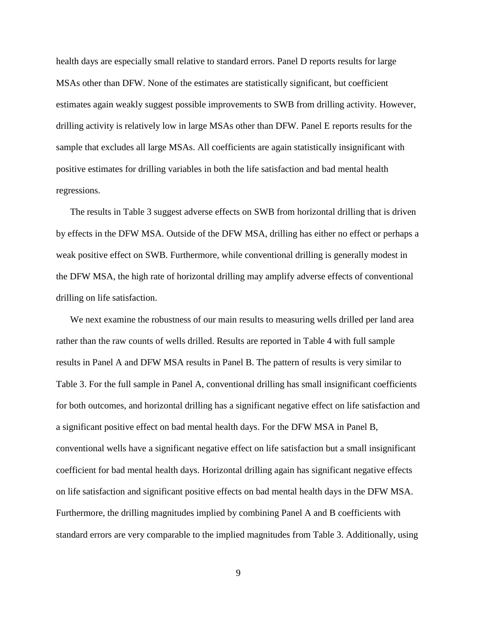health days are especially small relative to standard errors. Panel D reports results for large MSAs other than DFW. None of the estimates are statistically significant, but coefficient estimates again weakly suggest possible improvements to SWB from drilling activity. However, drilling activity is relatively low in large MSAs other than DFW. Panel E reports results for the sample that excludes all large MSAs. All coefficients are again statistically insignificant with positive estimates for drilling variables in both the life satisfaction and bad mental health regressions.

The results in Table 3 suggest adverse effects on SWB from horizontal drilling that is driven by effects in the DFW MSA. Outside of the DFW MSA, drilling has either no effect or perhaps a weak positive effect on SWB. Furthermore, while conventional drilling is generally modest in the DFW MSA, the high rate of horizontal drilling may amplify adverse effects of conventional drilling on life satisfaction.

We next examine the robustness of our main results to measuring wells drilled per land area rather than the raw counts of wells drilled. Results are reported in Table 4 with full sample results in Panel A and DFW MSA results in Panel B. The pattern of results is very similar to Table 3. For the full sample in Panel A, conventional drilling has small insignificant coefficients for both outcomes, and horizontal drilling has a significant negative effect on life satisfaction and a significant positive effect on bad mental health days. For the DFW MSA in Panel B, conventional wells have a significant negative effect on life satisfaction but a small insignificant coefficient for bad mental health days. Horizontal drilling again has significant negative effects on life satisfaction and significant positive effects on bad mental health days in the DFW MSA. Furthermore, the drilling magnitudes implied by combining Panel A and B coefficients with standard errors are very comparable to the implied magnitudes from Table 3. Additionally, using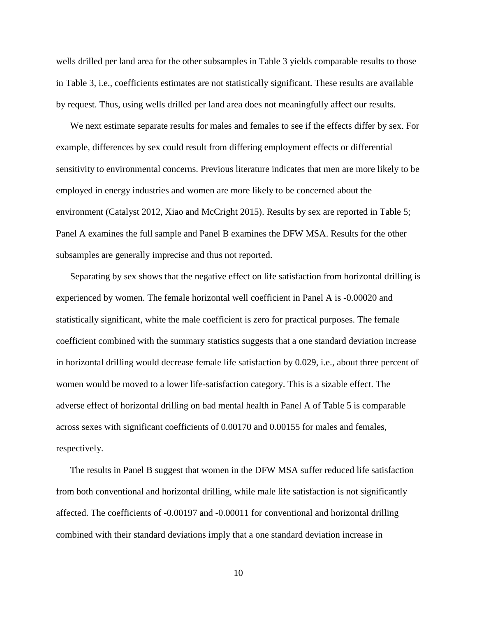wells drilled per land area for the other subsamples in Table 3 yields comparable results to those in Table 3, i.e., coefficients estimates are not statistically significant. These results are available by request. Thus, using wells drilled per land area does not meaningfully affect our results.

We next estimate separate results for males and females to see if the effects differ by sex. For example, differences by sex could result from differing employment effects or differential sensitivity to environmental concerns. Previous literature indicates that men are more likely to be employed in energy industries and women are more likely to be concerned about the environment (Catalyst 2012, Xiao and McCright 2015). Results by sex are reported in Table 5; Panel A examines the full sample and Panel B examines the DFW MSA. Results for the other subsamples are generally imprecise and thus not reported.

Separating by sex shows that the negative effect on life satisfaction from horizontal drilling is experienced by women. The female horizontal well coefficient in Panel A is -0.00020 and statistically significant, white the male coefficient is zero for practical purposes. The female coefficient combined with the summary statistics suggests that a one standard deviation increase in horizontal drilling would decrease female life satisfaction by 0.029, i.e., about three percent of women would be moved to a lower life-satisfaction category. This is a sizable effect. The adverse effect of horizontal drilling on bad mental health in Panel A of Table 5 is comparable across sexes with significant coefficients of 0.00170 and 0.00155 for males and females, respectively.

The results in Panel B suggest that women in the DFW MSA suffer reduced life satisfaction from both conventional and horizontal drilling, while male life satisfaction is not significantly affected. The coefficients of -0.00197 and -0.00011 for conventional and horizontal drilling combined with their standard deviations imply that a one standard deviation increase in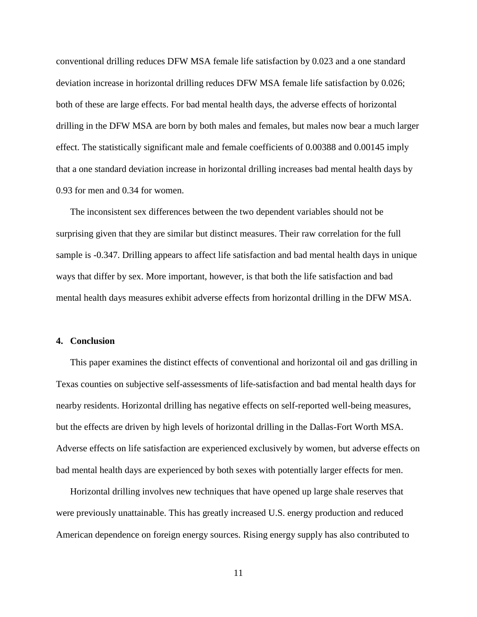conventional drilling reduces DFW MSA female life satisfaction by 0.023 and a one standard deviation increase in horizontal drilling reduces DFW MSA female life satisfaction by 0.026; both of these are large effects. For bad mental health days, the adverse effects of horizontal drilling in the DFW MSA are born by both males and females, but males now bear a much larger effect. The statistically significant male and female coefficients of 0.00388 and 0.00145 imply that a one standard deviation increase in horizontal drilling increases bad mental health days by 0.93 for men and 0.34 for women.

The inconsistent sex differences between the two dependent variables should not be surprising given that they are similar but distinct measures. Their raw correlation for the full sample is -0.347. Drilling appears to affect life satisfaction and bad mental health days in unique ways that differ by sex. More important, however, is that both the life satisfaction and bad mental health days measures exhibit adverse effects from horizontal drilling in the DFW MSA.

#### **4. Conclusion**

This paper examines the distinct effects of conventional and horizontal oil and gas drilling in Texas counties on subjective self-assessments of life-satisfaction and bad mental health days for nearby residents. Horizontal drilling has negative effects on self-reported well-being measures, but the effects are driven by high levels of horizontal drilling in the Dallas-Fort Worth MSA. Adverse effects on life satisfaction are experienced exclusively by women, but adverse effects on bad mental health days are experienced by both sexes with potentially larger effects for men.

Horizontal drilling involves new techniques that have opened up large shale reserves that were previously unattainable. This has greatly increased U.S. energy production and reduced American dependence on foreign energy sources. Rising energy supply has also contributed to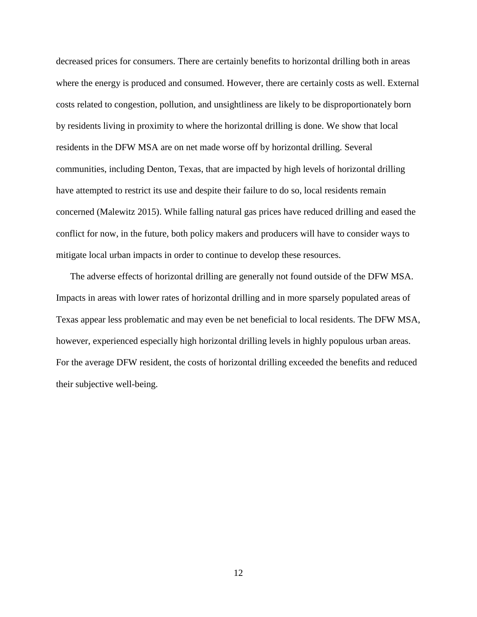decreased prices for consumers. There are certainly benefits to horizontal drilling both in areas where the energy is produced and consumed. However, there are certainly costs as well. External costs related to congestion, pollution, and unsightliness are likely to be disproportionately born by residents living in proximity to where the horizontal drilling is done. We show that local residents in the DFW MSA are on net made worse off by horizontal drilling. Several communities, including Denton, Texas, that are impacted by high levels of horizontal drilling have attempted to restrict its use and despite their failure to do so, local residents remain concerned (Malewitz 2015). While falling natural gas prices have reduced drilling and eased the conflict for now, in the future, both policy makers and producers will have to consider ways to mitigate local urban impacts in order to continue to develop these resources.

The adverse effects of horizontal drilling are generally not found outside of the DFW MSA. Impacts in areas with lower rates of horizontal drilling and in more sparsely populated areas of Texas appear less problematic and may even be net beneficial to local residents. The DFW MSA, however, experienced especially high horizontal drilling levels in highly populous urban areas. For the average DFW resident, the costs of horizontal drilling exceeded the benefits and reduced their subjective well-being.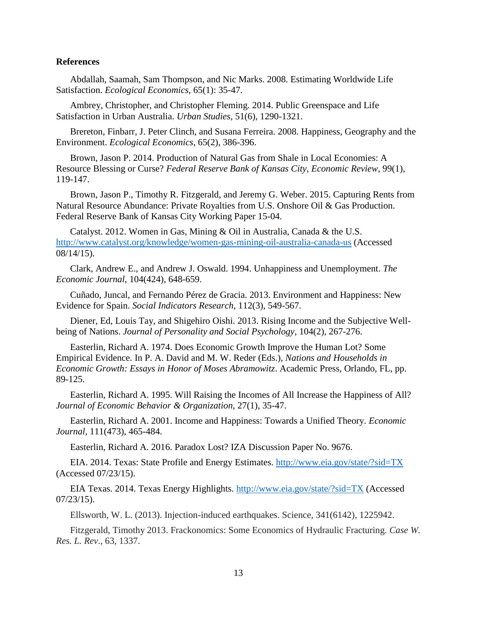#### **References**

Abdallah, Saamah, Sam Thompson, and Nic Marks. 2008. Estimating Worldwide Life Satisfaction. *Ecological Economics*, 65(1): 35-47.

Ambrey, Christopher, and Christopher Fleming. 2014. Public Greenspace and Life Satisfaction in Urban Australia. *Urban Studies*, 51(6), 1290-1321.

Brereton, Finbarr, J. Peter Clinch, and Susana Ferreira. 2008. Happiness, Geography and the Environment. *Ecological Economics*, 65(2), 386-396.

Brown, Jason P. 2014. Production of Natural Gas from Shale in Local Economies: A Resource Blessing or Curse? *Federal Reserve Bank of Kansas City, Economic Review*, 99(1), 119-147.

Brown, Jason P., Timothy R. Fitzgerald, and Jeremy G. Weber. 2015. Capturing Rents from Natural Resource Abundance: Private Royalties from U.S. Onshore Oil & Gas Production. Federal Reserve Bank of Kansas City Working Paper 15-04.

Catalyst. 2012. Women in Gas, Mining & Oil in Australia, Canada & the U.S. <http://www.catalyst.org/knowledge/women-gas-mining-oil-australia-canada-us> (Accessed 08/14/15).

Clark, Andrew E., and Andrew J. Oswald. 1994. Unhappiness and Unemployment. *The Economic Journal*, 104(424), 648-659.

Cuñado, Juncal, and Fernando Pérez de Gracia. 2013. Environment and Happiness: New Evidence for Spain. *Social Indicators Research*, 112(3), 549-567.

Diener, Ed, Louis Tay, and Shigehiro Oishi. 2013. Rising Income and the Subjective Wellbeing of Nations. *Journal of Personality and Social Psychology*, 104(2), 267-276.

Easterlin, Richard A. 1974. Does Economic Growth Improve the Human Lot? Some Empirical Evidence. In P. A. David and M. W. Reder (Eds.), *Nations and Households in Economic Growth: Essays in Honor of Moses Abramowitz*. Academic Press, Orlando, FL, pp. 89-125.

Easterlin, Richard A. 1995. Will Raising the Incomes of All Increase the Happiness of All? *Journal of Economic Behavior & Organization*, 27(1), 35-47.

Easterlin, Richard A. 2001. Income and Happiness: Towards a Unified Theory. *Economic Journal*, 111(473), 465-484.

Easterlin, Richard A. 2016. Paradox Lost? IZA Discussion Paper No. 9676.

EIA. 2014. Texas: State Profile and Energy Estimates.<http://www.eia.gov/state/?sid=TX> (Accessed 07/23/15).

EIA Texas. 2014. Texas Energy Highlights.<http://www.eia.gov/state/?sid=TX> (Accessed 07/23/15).

Ellsworth, W. L. (2013). Injection-induced earthquakes. Science, 341(6142), 1225942.

Fitzgerald, Timothy 2013. Frackonomics: Some Economics of Hydraulic Fracturing. *Case W. Res. L. Rev*., 63, 1337.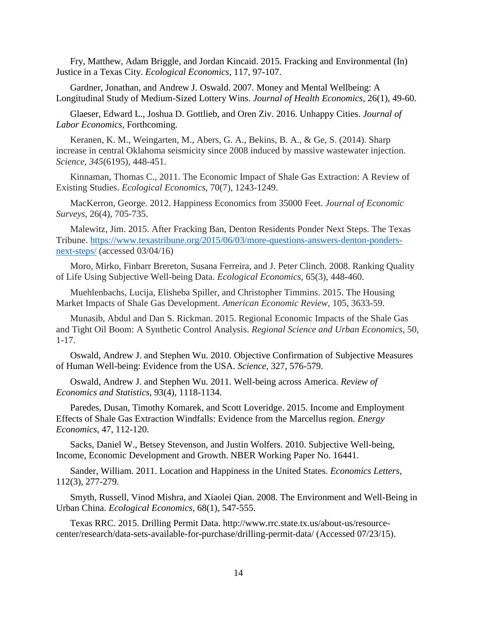Fry, Matthew, Adam Briggle, and Jordan Kincaid. 2015. Fracking and Environmental (In) Justice in a Texas City. *Ecological Economics*, 117, 97-107.

Gardner, Jonathan, and Andrew J. Oswald. 2007. Money and Mental Wellbeing: A Longitudinal Study of Medium-Sized Lottery Wins. *Journal of Health Economics*, 26(1), 49-60.

Glaeser, Edward L., Joshua D. Gottlieb, and Oren Ziv. 2016. Unhappy Cities. *Journal of Labor Economics*, Forthcoming.

Keranen, K. M., Weingarten, M., Abers, G. A., Bekins, B. A., & Ge, S. (2014). Sharp increase in central Oklahoma seismicity since 2008 induced by massive wastewater injection. *Science*, *345*(6195), 448-451.

Kinnaman, Thomas C., 2011. The Economic Impact of Shale Gas Extraction: A Review of Existing Studies. *Ecological Economics*, 70(7), 1243-1249.

MacKerron, George. 2012. Happiness Economics from 35000 Feet. *Journal of Economic Surveys*, 26(4), 705-735.

Malewitz, Jim. 2015. After Fracking Ban, Denton Residents Ponder Next Steps. The Texas Tribune. [https://www.texastribune.org/2015/06/03/more-questions-answers-denton-ponders](https://www.texastribune.org/2015/06/03/more-questions-answers-denton-ponders-next-steps/)[next-steps/](https://www.texastribune.org/2015/06/03/more-questions-answers-denton-ponders-next-steps/) (accessed 03/04/16)

Moro, Mirko, Finbarr Brereton, Susana Ferreira, and J. Peter Clinch. 2008. Ranking Quality of Life Using Subjective Well-being Data. *Ecological Economics*, 65(3), 448-460.

Muehlenbachs, Lucija, Elisheba Spiller, and Christopher Timmins. 2015. The Housing Market Impacts of Shale Gas Development. *American Economic Review*, 105, 3633-59.

Munasib, Abdul and Dan S. Rickman. 2015. Regional Economic Impacts of the Shale Gas and Tight Oil Boom: A Synthetic Control Analysis. *Regional Science and Urban Economics*, 50, 1-17.

Oswald, Andrew J. and Stephen Wu. 2010. Objective Confirmation of Subjective Measures of Human Well-being: Evidence from the USA. *Science*, 327, 576-579.

Oswald, Andrew J. and Stephen Wu. 2011. Well-being across America. *Review of Economics and Statistics*, 93(4), 1118-1134.

Paredes, Dusan, Timothy Komarek, and Scott Loveridge. 2015. Income and Employment Effects of Shale Gas Extraction Windfalls: Evidence from the Marcellus region. *Energy Economics*, 47, 112-120.

Sacks, Daniel W., Betsey Stevenson, and Justin Wolfers. 2010. Subjective Well-being, Income, Economic Development and Growth. NBER Working Paper No. 16441.

Sander, William. 2011. Location and Happiness in the United States. *Economics Letters,* 112(3), 277-279.

Smyth, Russell, Vinod Mishra, and Xiaolei Qian. 2008. The Environment and Well-Being in Urban China. *Ecological Economics*, 68(1), 547-555.

Texas RRC. 2015. Drilling Permit Data. http://www.rrc.state.tx.us/about-us/resourcecenter/research/data-sets-available-for-purchase/drilling-permit-data/ (Accessed 07/23/15).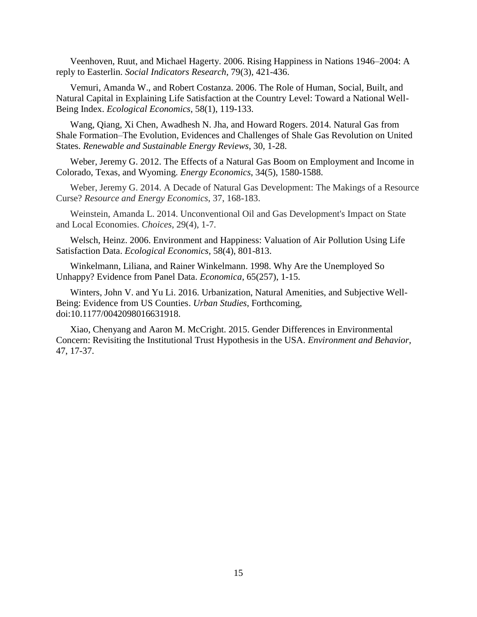Veenhoven, Ruut, and Michael Hagerty. 2006. Rising Happiness in Nations 1946–2004: A reply to Easterlin. *Social Indicators Research*, 79(3), 421-436.

Vemuri, Amanda W., and Robert Costanza. 2006. The Role of Human, Social, Built, and Natural Capital in Explaining Life Satisfaction at the Country Level: Toward a National Well-Being Index. *Ecological Economics*, 58(1), 119-133.

Wang, Qiang, Xi Chen, Awadhesh N. Jha, and Howard Rogers. 2014. Natural Gas from Shale Formation–The Evolution, Evidences and Challenges of Shale Gas Revolution on United States. *Renewable and Sustainable Energy Reviews*, 30, 1-28.

Weber, Jeremy G. 2012. The Effects of a Natural Gas Boom on Employment and Income in Colorado, Texas, and Wyoming. *Energy Economics*, 34(5), 1580-1588.

Weber, Jeremy G. 2014. A Decade of Natural Gas Development: The Makings of a Resource Curse? *Resource and Energy Economics*, 37, 168-183.

Weinstein, Amanda L. 2014. Unconventional Oil and Gas Development's Impact on State and Local Economies. *Choices*, 29(4), 1-7.

Welsch, Heinz. 2006. Environment and Happiness: Valuation of Air Pollution Using Life Satisfaction Data. *Ecological Economics,* 58(4), 801-813.

Winkelmann, Liliana, and Rainer Winkelmann. 1998. Why Are the Unemployed So Unhappy? Evidence from Panel Data. *Economica*, 65(257), 1-15.

Winters, John V. and Yu Li. 2016. Urbanization, Natural Amenities, and Subjective Well-Being: Evidence from US Counties. *Urban Studies*, Forthcoming, doi:10.1177/0042098016631918.

Xiao, Chenyang and Aaron M. McCright. 2015. Gender Differences in Environmental Concern: Revisiting the Institutional Trust Hypothesis in the USA. *Environment and Behavior*, 47, 17-37.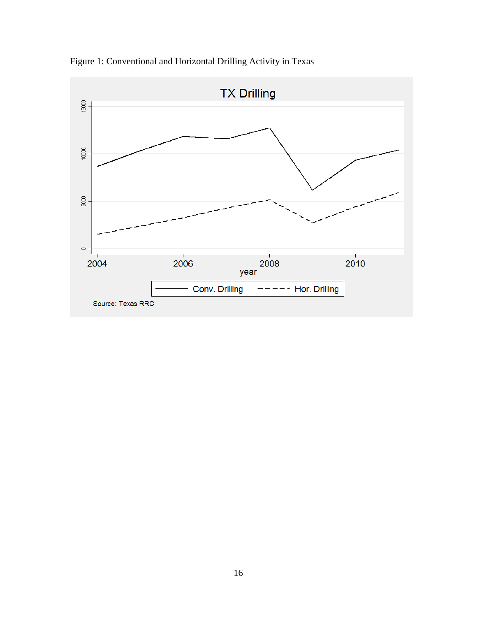

Figure 1: Conventional and Horizontal Drilling Activity in Texas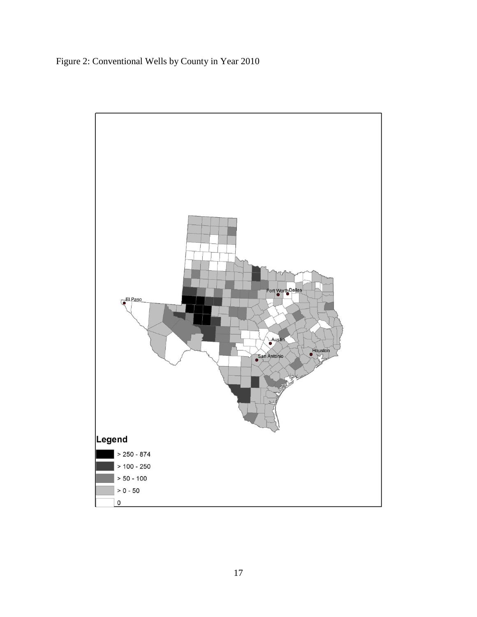Figure 2: Conventional Wells by County in Year 2010

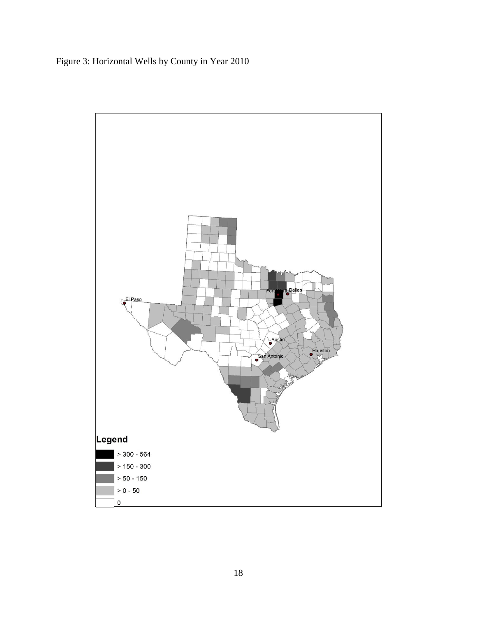Figure 3: Horizontal Wells by County in Year 2010

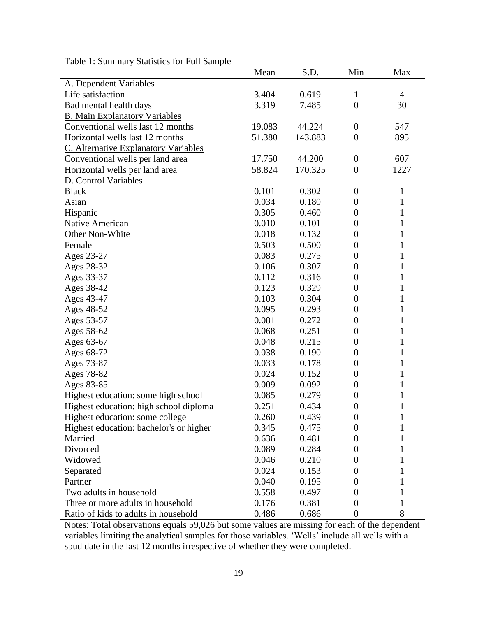| raone 1. Bunning y Blanshes for 1 un Bampic | Mean   | S.D.    | Min              | Max            |
|---------------------------------------------|--------|---------|------------------|----------------|
| A. Dependent Variables                      |        |         |                  |                |
| Life satisfaction                           | 3.404  | 0.619   | $\mathbf{1}$     | $\overline{4}$ |
| Bad mental health days                      | 3.319  | 7.485   | $\overline{0}$   | 30             |
| <b>B. Main Explanatory Variables</b>        |        |         |                  |                |
| Conventional wells last 12 months           | 19.083 | 44.224  | $\boldsymbol{0}$ | 547            |
| Horizontal wells last 12 months             | 51.380 | 143.883 | $\boldsymbol{0}$ | 895            |
| C. Alternative Explanatory Variables        |        |         |                  |                |
| Conventional wells per land area            | 17.750 | 44.200  | $\boldsymbol{0}$ | 607            |
| Horizontal wells per land area              | 58.824 | 170.325 | $\boldsymbol{0}$ | 1227           |
| D. Control Variables                        |        |         |                  |                |
| <b>Black</b>                                | 0.101  | 0.302   | $\boldsymbol{0}$ | $\mathbf{1}$   |
| Asian                                       | 0.034  | 0.180   | $\boldsymbol{0}$ | $\mathbf{1}$   |
| Hispanic                                    | 0.305  | 0.460   | $\boldsymbol{0}$ | $\mathbf{1}$   |
| Native American                             | 0.010  | 0.101   | $\boldsymbol{0}$ | $\mathbf{1}$   |
| Other Non-White                             | 0.018  | 0.132   | $\boldsymbol{0}$ | $\mathbf{1}$   |
| Female                                      | 0.503  | 0.500   | $\boldsymbol{0}$ | $\mathbf{1}$   |
| Ages 23-27                                  | 0.083  | 0.275   | $\overline{0}$   | $\mathbf{1}$   |
| Ages 28-32                                  | 0.106  | 0.307   | $\boldsymbol{0}$ | $\mathbf{1}$   |
| Ages 33-37                                  | 0.112  | 0.316   | $\boldsymbol{0}$ | $\mathbf{1}$   |
| Ages 38-42                                  | 0.123  | 0.329   | $\boldsymbol{0}$ | $\mathbf{1}$   |
| Ages 43-47                                  | 0.103  | 0.304   | $\boldsymbol{0}$ | $\mathbf{1}$   |
| Ages 48-52                                  | 0.095  | 0.293   | $\boldsymbol{0}$ | $\mathbf{1}$   |
| Ages 53-57                                  | 0.081  | 0.272   | $\boldsymbol{0}$ | $\mathbf{1}$   |
| Ages 58-62                                  | 0.068  | 0.251   | $\overline{0}$   | $\mathbf{1}$   |
| Ages 63-67                                  | 0.048  | 0.215   | $\boldsymbol{0}$ | $\mathbf{1}$   |
| Ages 68-72                                  | 0.038  | 0.190   | $\boldsymbol{0}$ | $\mathbf{1}$   |
| Ages 73-87                                  | 0.033  | 0.178   | $\boldsymbol{0}$ | $\mathbf{1}$   |
| Ages 78-82                                  | 0.024  | 0.152   | $\boldsymbol{0}$ | $\mathbf{1}$   |
| Ages 83-85                                  | 0.009  | 0.092   | $\boldsymbol{0}$ | $\mathbf{1}$   |
| Highest education: some high school         | 0.085  | 0.279   | $\boldsymbol{0}$ | $\mathbf{1}$   |
| Highest education: high school diploma      | 0.251  | 0.434   | $\boldsymbol{0}$ | $\mathbf{1}$   |
| Highest education: some college             | 0.260  | 0.439   | $\theta$         | 1              |
| Highest education: bachelor's or higher     | 0.345  | 0.475   | 0                |                |
| Married                                     | 0.636  | 0.481   | $\theta$         | 1              |
| Divorced                                    | 0.089  | 0.284   | 0                | 1              |
| Widowed                                     | 0.046  | 0.210   | 0                | 1              |
| Separated                                   | 0.024  | 0.153   | 0                | 1              |
| Partner                                     | 0.040  | 0.195   | 0                | $\mathbf 1$    |
| Two adults in household                     | 0.558  | 0.497   | 0                | $\mathbf 1$    |
| Three or more adults in household           | 0.176  | 0.381   | $\boldsymbol{0}$ | $\mathbf 1$    |
| Ratio of kids to adults in household        | 0.486  | 0.686   | $\boldsymbol{0}$ | 8              |

Table 1: Summary Statistics for Full Sample

Notes: Total observations equals 59,026 but some values are missing for each of the dependent variables limiting the analytical samples for those variables. 'Wells' include all wells with a spud date in the last 12 months irrespective of whether they were completed.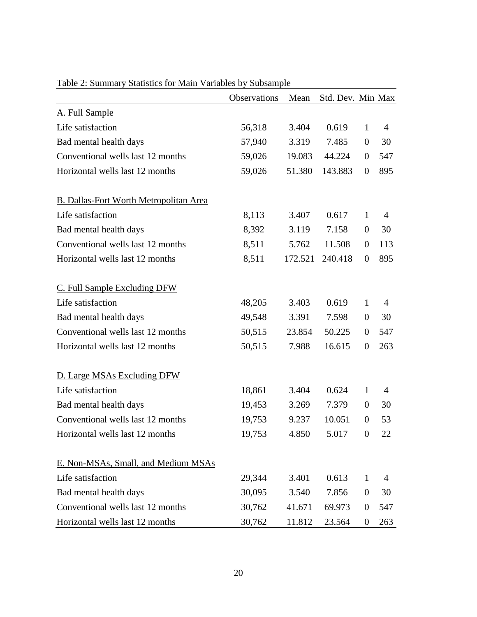|                                               | Observations | Mean    | Std. Dev. Min Max |                  |                |
|-----------------------------------------------|--------------|---------|-------------------|------------------|----------------|
| A. Full Sample                                |              |         |                   |                  |                |
| Life satisfaction                             | 56,318       | 3.404   | 0.619             | $\mathbf{1}$     | $\overline{4}$ |
| Bad mental health days                        | 57,940       | 3.319   | 7.485             | $\overline{0}$   | 30             |
| Conventional wells last 12 months             | 59,026       | 19.083  | 44.224            | $\boldsymbol{0}$ | 547            |
| Horizontal wells last 12 months               | 59,026       | 51.380  | 143.883           | $\boldsymbol{0}$ | 895            |
| <b>B. Dallas-Fort Worth Metropolitan Area</b> |              |         |                   |                  |                |
| Life satisfaction                             | 8,113        | 3.407   | 0.617             | $\mathbf{1}$     | $\overline{4}$ |
| Bad mental health days                        | 8,392        | 3.119   | 7.158             | $\boldsymbol{0}$ | 30             |
| Conventional wells last 12 months             | 8,511        | 5.762   | 11.508            | $\boldsymbol{0}$ | 113            |
| Horizontal wells last 12 months               | 8,511        | 172.521 | 240.418           | $\boldsymbol{0}$ | 895            |
| C. Full Sample Excluding DFW                  |              |         |                   |                  |                |
| Life satisfaction                             | 48,205       | 3.403   | 0.619             | 1                | $\overline{4}$ |
| Bad mental health days                        | 49,548       | 3.391   | 7.598             | $\boldsymbol{0}$ | 30             |
| Conventional wells last 12 months             | 50,515       | 23.854  | 50.225            | $\boldsymbol{0}$ | 547            |
| Horizontal wells last 12 months               | 50,515       | 7.988   | 16.615            | $\boldsymbol{0}$ | 263            |
| D. Large MSAs Excluding DFW                   |              |         |                   |                  |                |
| Life satisfaction                             | 18,861       | 3.404   | 0.624             | $\mathbf{1}$     | 4              |
| Bad mental health days                        | 19,453       | 3.269   | 7.379             | $\boldsymbol{0}$ | 30             |
| Conventional wells last 12 months             | 19,753       | 9.237   | 10.051            | $\boldsymbol{0}$ | 53             |
| Horizontal wells last 12 months               | 19,753       | 4.850   | 5.017             | $\boldsymbol{0}$ | 22             |
| E. Non-MSAs, Small, and Medium MSAs           |              |         |                   |                  |                |
| Life satisfaction                             | 29,344       | 3.401   | 0.613             | 1                | 4              |
| Bad mental health days                        | 30,095       | 3.540   | 7.856             | $\boldsymbol{0}$ | 30             |
| Conventional wells last 12 months             | 30,762       | 41.671  | 69.973            | $\boldsymbol{0}$ | 547            |
| Horizontal wells last 12 months               | 30,762       | 11.812  | 23.564            | $\boldsymbol{0}$ | 263            |

### Table 2: Summary Statistics for Main Variables by Subsample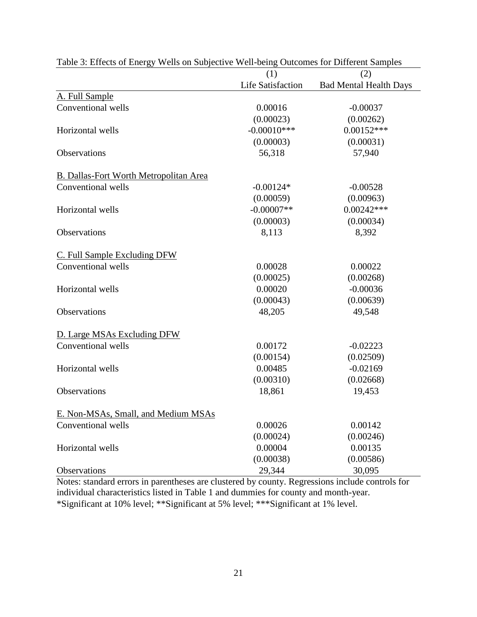|                                               | (1)                      | (2)                           |
|-----------------------------------------------|--------------------------|-------------------------------|
|                                               | <b>Life Satisfaction</b> | <b>Bad Mental Health Days</b> |
| A. Full Sample                                |                          |                               |
| Conventional wells                            | 0.00016                  | $-0.00037$                    |
|                                               | (0.00023)                | (0.00262)                     |
| Horizontal wells                              | $-0.00010***$            | $0.00152***$                  |
|                                               | (0.00003)                | (0.00031)                     |
| Observations                                  | 56,318                   | 57,940                        |
| <b>B. Dallas-Fort Worth Metropolitan Area</b> |                          |                               |
| Conventional wells                            | $-0.00124*$              | $-0.00528$                    |
|                                               | (0.00059)                | (0.00963)                     |
| Horizontal wells                              | $-0.00007**$             | $0.00242***$                  |
|                                               | (0.00003)                | (0.00034)                     |
| Observations                                  | 8,113                    | 8,392                         |
| C. Full Sample Excluding DFW                  |                          |                               |
| Conventional wells                            | 0.00028                  | 0.00022                       |
|                                               | (0.00025)                | (0.00268)                     |
| Horizontal wells                              | 0.00020                  | $-0.00036$                    |
|                                               | (0.00043)                | (0.00639)                     |
| Observations                                  | 48,205                   | 49,548                        |
| D. Large MSAs Excluding DFW                   |                          |                               |
| Conventional wells                            | 0.00172                  | $-0.02223$                    |
|                                               | (0.00154)                | (0.02509)                     |
| Horizontal wells                              | 0.00485                  | $-0.02169$                    |
|                                               | (0.00310)                | (0.02668)                     |
| <b>Observations</b>                           | 18,861                   | 19,453                        |
| E. Non-MSAs, Small, and Medium MSAs           |                          |                               |
| Conventional wells                            | 0.00026                  | 0.00142                       |
|                                               | (0.00024)                | (0.00246)                     |
| Horizontal wells                              | 0.00004                  | 0.00135                       |
|                                               | (0.00038)                | (0.00586)                     |
| Observations                                  | 29,344                   | 30,095                        |

Table 3: Effects of Energy Wells on Subjective Well-being Outcomes for Different Samples

Notes: standard errors in parentheses are clustered by county. Regressions include controls for individual characteristics listed in Table 1 and dummies for county and month-year. \*Significant at 10% level; \*\*Significant at 5% level; \*\*\*Significant at 1% level.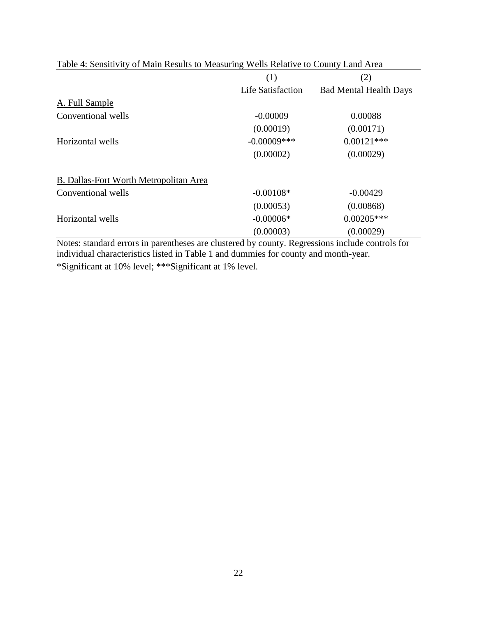| (1)               | (2)                           |
|-------------------|-------------------------------|
| Life Satisfaction | <b>Bad Mental Health Days</b> |
|                   |                               |
| $-0.00009$        | 0.00088                       |
| (0.00019)         | (0.00171)                     |
| $-0.00009$ ***    | $0.00121***$                  |
| (0.00002)         | (0.00029)                     |
|                   |                               |
| $-0.00108*$       | $-0.00429$                    |
| (0.00053)         | (0.00868)                     |
| $-0.00006*$       | $0.00205***$                  |
| (0.00003)         | (0.00029)                     |
|                   |                               |

Table 4: Sensitivity of Main Results to Measuring Wells Relative to County Land Area

Notes: standard errors in parentheses are clustered by county. Regressions include controls for individual characteristics listed in Table 1 and dummies for county and month-year. \*Significant at 10% level; \*\*\*Significant at 1% level.